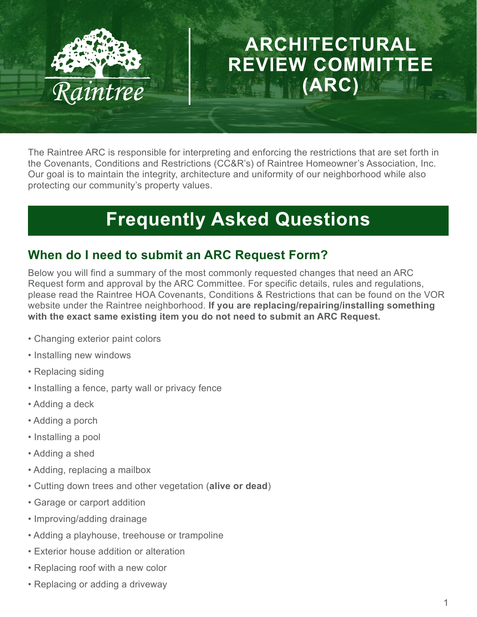

# ARCHITECTURAL **REVIEW COMMITTEE** (ARC)

The Raintree ARC is responsible for interpreting and enforcing the restrictions that are set forth in the Covenants, Conditions and Restrictions (CC&R's) of Raintree Homeowner's Association, Inc. Our goal is to maintain the integrity, architecture and uniformity of our neighborhood while also protecting our community's property values.

# **Frequently Asked Questions**

## **When do I need to submit an ARC Request Form?**

Below you will find a summary of the most commonly requested changes that need an ARC Request form and approval by the ARC Committee. For specific details, rules and regulations, please read the Raintree HOA Covenants, Conditions & Restrictions that can be found on the VOR website under the Raintree neighborhood. **If you are replacing/repairing/installing something with the exact same existing item you do not need to submit an ARC Request.**

- Changing exterior paint colors
- Installing new windows
- Replacing siding
- Installing a fence, party wall or privacy fence
- Adding a deck
- Adding a porch
- Installing a pool
- Adding a shed
- Adding, replacing a mailbox
- Cutting down trees and other vegetation (**alive or dead**)
- Garage or carport addition
- Improving/adding drainage
- Adding a playhouse, treehouse or trampoline
- Exterior house addition or alteration
- Replacing roof with a new color
- Replacing or adding a driveway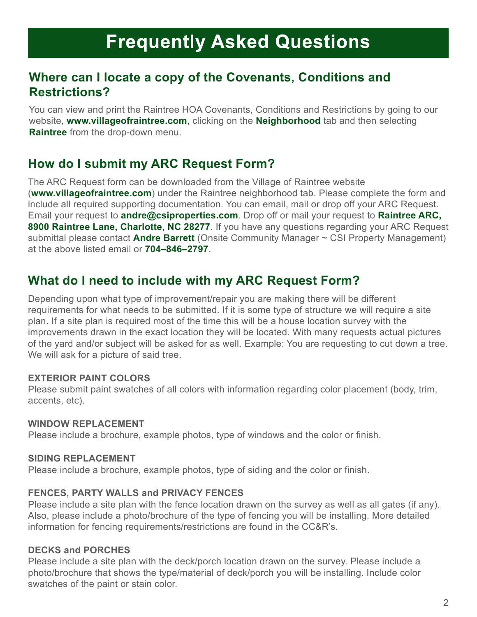# **Frequently Asked Questions**

## **Where can I locate a copy of the Covenants, Conditions and Restrictions?**

You can view and print the Raintree HOA Covenants, Conditions and Restrictions by going to our website, **www.villageofraintree.com**, clicking on the **Neighborhood** tab and then selecting **Raintree** from the drop-down menu.

## **How do I submit my ARC Request Form?**

The ARC Request form can be downloaded from the Village of Raintree website (**www.villageofraintree.com**) under the Raintree neighborhood tab. Please complete the form and include all required supporting documentation. You can email, mail or drop off your ARC Request. Email your request to **andre@csiproperties.com**. Drop off or mail your request to **Raintree ARC, 8900 Raintree Lane, Charlotte, NC 28277**. If you have any questions regarding your ARC Request submittal please contact **Andre Barrett** (Onsite Community Manager ~ CSI Property Management) at the above listed email or **704–846–2797**.

## **What do I need to include with my ARC Request Form?**

Depending upon what type of improvement/repair you are making there will be different requirements for what needs to be submitted. If it is some type of structure we will require a site plan. If a site plan is required most of the time this will be a house location survey with the improvements drawn in the exact location they will be located. With many requests actual pictures of the yard and/or subject will be asked for as well. Example: You are requesting to cut down a tree. We will ask for a picture of said tree.

### **EXTERIOR PAINT COLORS**

Please submit paint swatches of all colors with information regarding color placement (body, trim, accents, etc).

## **WINDOW REPLACEMENT**

Please include a brochure, example photos, type of windows and the color or finish.

## **SIDING REPLACEMENT**

Please include a brochure, example photos, type of siding and the color or finish.

## **FENCES, PARTY WALLS and PRIVACY FENCES**

Please include a site plan with the fence location drawn on the survey as well as all gates (if any). Also, please include a photo/brochure of the type of fencing you will be installing. More detailed information for fencing requirements/restrictions are found in the CC&R's.

## **DECKS and PORCHES**

Please include a site plan with the deck/porch location drawn on the survey. Please include a photo/brochure that shows the type/material of deck/porch you will be installing. Include color swatches of the paint or stain color.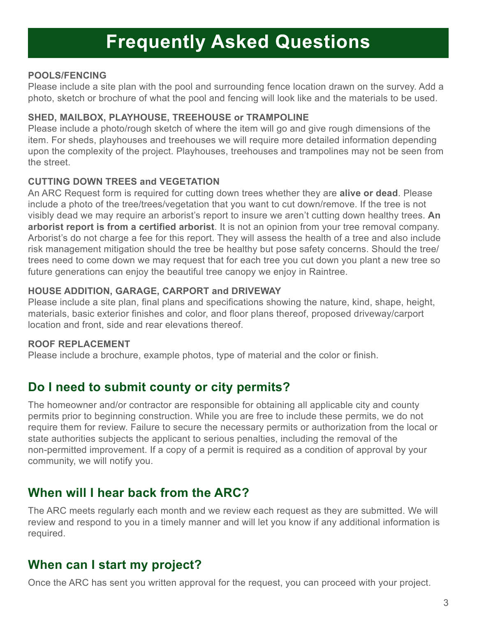## **Frequently Asked Questions**

### **POOLS/FENCING**

Please include a site plan with the pool and surrounding fence location drawn on the survey. Add a photo, sketch or brochure of what the pool and fencing will look like and the materials to be used.

### **SHED, MAILBOX, PLAYHOUSE, TREEHOUSE or TRAMPOLINE**

Please include a photo/rough sketch of where the item will go and give rough dimensions of the item. For sheds, playhouses and treehouses we will require more detailed information depending upon the complexity of the project. Playhouses, treehouses and trampolines may not be seen from the street.

### **CUTTING DOWN TREES and VEGETATION**

An ARC Request form is required for cutting down trees whether they are **alive or dead**. Please include a photo of the tree/trees/vegetation that you want to cut down/remove. If the tree is not visibly dead we may require an arborist's report to insure we aren't cutting down healthy trees. **An arborist report is from a certified arborist**. It is not an opinion from your tree removal company. Arborist's do not charge a fee for this report. They will assess the health of a tree and also include risk management mitigation should the tree be healthy but pose safety concerns. Should the tree/ trees need to come down we may request that for each tree you cut down you plant a new tree so future generations can enjoy the beautiful tree canopy we enjoy in Raintree.

#### **HOUSE ADDITION, GARAGE, CARPORT and DRIVEWAY**

Please include a site plan, final plans and specifications showing the nature, kind, shape, height, materials, basic exterior finishes and color, and floor plans thereof, proposed driveway/carport location and front, side and rear elevations thereof.

#### **ROOF REPLACEMENT**

Please include a brochure, example photos, type of material and the color or finish.

## **Do I need to submit county or city permits?**

The homeowner and/or contractor are responsible for obtaining all applicable city and county permits prior to beginning construction. While you are free to include these permits, we do not require them for review. Failure to secure the necessary permits or authorization from the local or state authorities subjects the applicant to serious penalties, including the removal of the non-permitted improvement. If a copy of a permit is required as a condition of approval by your community, we will notify you.

## **When will I hear back from the ARC?**

The ARC meets regularly each month and we review each request as they are submitted. We will review and respond to you in a timely manner and will let you know if any additional information is required.

## **When can I start my project?**

Once the ARC has sent you written approval for the request, you can proceed with your project.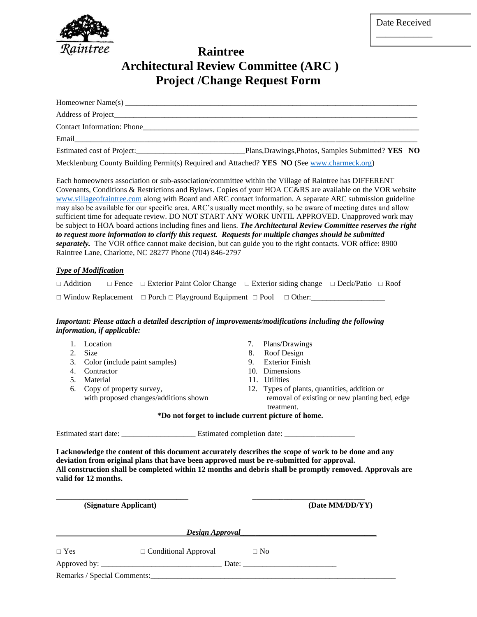

## **Raintree Architectural Review Committee (ARC ) Project /Change Request Form**

| Contact Information: Phone |                                                    |
|----------------------------|----------------------------------------------------|
| Email                      |                                                    |
| Estimated cost of Project: | Plans, Drawings, Photos, Samples Submitted? YES NO |

Mecklenburg County Building Permit(s) Required and Attached? **YES NO** (See [www.charmeck.org\)](http://www.charmeck.org/)

Each homeowners association or sub-association/committee within the Village of Raintree has DIFFERENT Covenants, Conditions & Restrictions and Bylaws. Copies of your HOA CC&RS are available on the VOR website [www.villageofraintree.com](http://www.villageofraintree.com/) along with Board and ARC contact information. A separate ARC submission guideline may also be available for our specific area. ARC's usually meet monthly, so be aware of meeting dates and allow sufficient time for adequate review. DO NOT START ANY WORK UNTIL APPROVED. Unapproved work may be subject to HOA board actions including fines and liens. *The Architectural Review Committee reserves the right to request more information to clarify this request. Requests for multiple changes should be submitted separately.* The VOR office cannot make decision, but can guide you to the right contacts. VOR office: 8900 Raintree Lane, Charlotte, NC 28277 Phone (704) 846-2797

#### *Type of Modification*

|  | $\Box$ Addition $\Box$ Fence $\Box$ Exterior Paint Color Change $\Box$ Exterior siding change $\Box$ Deck/Patio $\Box$ Roof |  |  |
|--|-----------------------------------------------------------------------------------------------------------------------------|--|--|
|  | $\Box$ Window Replacement $\Box$ Porch $\Box$ Playground Equipment $\Box$ Pool $\Box$ Other:                                |  |  |

#### *Important: Please attach a detailed description of improvements/modifications including the following information, if applicable:*

|    | Location                                                                                                         | 7.                                                 | Plans/Drawings                                                                                                                                                                                                   |
|----|------------------------------------------------------------------------------------------------------------------|----------------------------------------------------|------------------------------------------------------------------------------------------------------------------------------------------------------------------------------------------------------------------|
| 2. | <b>Size</b>                                                                                                      | 8.                                                 | Roof Design                                                                                                                                                                                                      |
| 3. | Color (include paint samples)                                                                                    | 9.                                                 | <b>Exterior Finish</b>                                                                                                                                                                                           |
| 4. | Contractor                                                                                                       |                                                    | 10. Dimensions                                                                                                                                                                                                   |
| 5. | Material                                                                                                         |                                                    | 11. Utilities                                                                                                                                                                                                    |
| 6. | Copy of property survey,                                                                                         |                                                    | 12. Types of plants, quantities, addition or                                                                                                                                                                     |
|    | with proposed changes/additions shown                                                                            |                                                    | removal of existing or new planting bed, edge<br>treatment.                                                                                                                                                      |
|    |                                                                                                                  | *Do not forget to include current picture of home. |                                                                                                                                                                                                                  |
|    |                                                                                                                  |                                                    |                                                                                                                                                                                                                  |
|    |                                                                                                                  |                                                    |                                                                                                                                                                                                                  |
|    | deviation from original plans that have been approved must be re-submitted for approval.<br>valid for 12 months. |                                                    | I acknowledge the content of this document accurately describes the scope of work to be done and any<br>All construction shall be completed within 12 months and debris shall be promptly removed. Approvals are |
|    | (Signature Applicant)                                                                                            |                                                    | (Date MM/DD/YY)                                                                                                                                                                                                  |
|    |                                                                                                                  |                                                    |                                                                                                                                                                                                                  |

| $\Box$ Yes                            | $\Box$ Conditional Approval |       | $\Box$ No |  |
|---------------------------------------|-----------------------------|-------|-----------|--|
| Approved by: $\overline{\phantom{a}}$ |                             | Date: |           |  |
| Remarks / Special Comments:           |                             |       |           |  |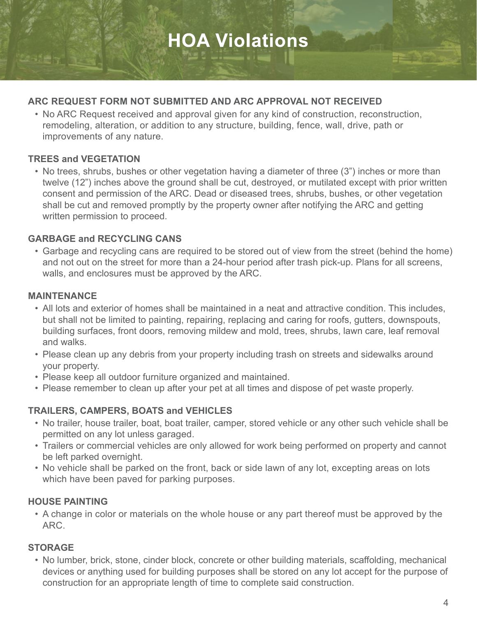# **HOA Violations**

## **ARC REQUEST FORM NOT SUBMITTED AND ARC APPROVAL NOT RECEIVED**

 • No ARC Request received and approval given for any kind of construction, reconstruction, remodeling, alteration, or addition to any structure, building, fence, wall, drive, path or improvements of any nature.

### **TREES and VEGETATION**

 • No trees, shrubs, bushes or other vegetation having a diameter of three (3") inches or more than twelve (12") inches above the ground shall be cut, destroyed, or mutilated except with prior written consent and permission of the ARC. Dead or diseased trees, shrubs, bushes, or other vegetation shall be cut and removed promptly by the property owner after notifying the ARC and getting written permission to proceed.

## **GARBAGE and RECYCLING CANS**

 • Garbage and recycling cans are required to be stored out of view from the street (behind the home) and not out on the street for more than a 24-hour period after trash pick-up. Plans for all screens, walls, and enclosures must be approved by the ARC.

## **MAINTENANCE**

- All lots and exterior of homes shall be maintained in a neat and attractive condition. This includes, but shall not be limited to painting, repairing, replacing and caring for roofs, gutters, downspouts, building surfaces, front doors, removing mildew and mold, trees, shrubs, lawn care, leaf removal and walks.
- Please clean up any debris from your property including trash on streets and sidewalks around your property.
- Please keep all outdoor furniture organized and maintained.
- Please remember to clean up after your pet at all times and dispose of pet waste properly.

## **TRAILERS, CAMPERS, BOATS and VEHICLES**

- No trailer, house trailer, boat, boat trailer, camper, stored vehicle or any other such vehicle shall be permitted on any lot unless garaged.
- Trailers or commercial vehicles are only allowed for work being performed on property and cannot be left parked overnight.
- No vehicle shall be parked on the front, back or side lawn of any lot, excepting areas on lots which have been paved for parking purposes.

## **HOUSE PAINTING**

 • A change in color or materials on the whole house or any part thereof must be approved by the ARC.

## **STORAGE**

 • No lumber, brick, stone, cinder block, concrete or other building materials, scaffolding, mechanical devices or anything used for building purposes shall be stored on any lot accept for the purpose of construction for an appropriate length of time to complete said construction.